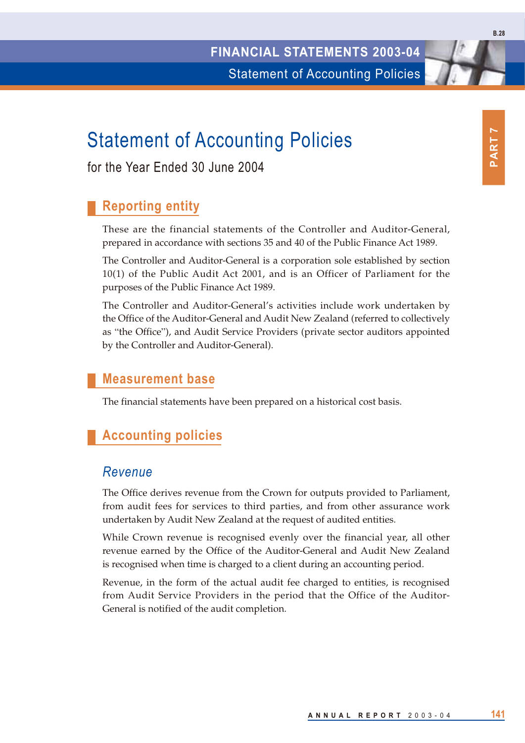# Statement of Accounting Policies

for the Year Ended 30 June 2004

# **Reporting entity**

These are the financial statements of the Controller and Auditor-General, prepared in accordance with sections 35 and 40 of the Public Finance Act 1989.

The Controller and Auditor-General is a corporation sole established by section 10(1) of the Public Audit Act 2001, and is an Officer of Parliament for the purposes of the Public Finance Act 1989.

The Controller and Auditor-General's activities include work undertaken by the Office of the Auditor-General and Audit New Zealand (referred to collectively as "the Office"), and Audit Service Providers (private sector auditors appointed by the Controller and Auditor-General).

### **Measurement base**

The financial statements have been prepared on a historical cost basis.

# **Accounting policies**

#### *Revenue*

The Office derives revenue from the Crown for outputs provided to Parliament, from audit fees for services to third parties, and from other assurance work undertaken by Audit New Zealand at the request of audited entities.

While Crown revenue is recognised evenly over the financial year, all other revenue earned by the Office of the Auditor-General and Audit New Zealand is recognised when time is charged to a client during an accounting period.

Revenue, in the form of the actual audit fee charged to entities, is recognised from Audit Service Providers in the period that the Office of the Auditor-General is notified of the audit completion.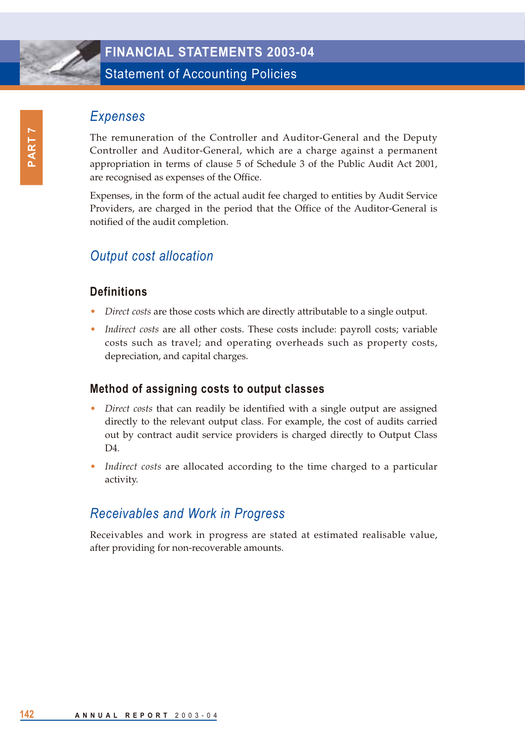

### **FINANCIAL STATEMENTS 2003-04**

Statement of Accounting Policies

### *Expenses*

The remuneration of the Controller and Auditor-General and the Deputy Controller and Auditor-General, which are a charge against a permanent appropriation in terms of clause 5 of Schedule 3 of the Public Audit Act 2001, are recognised as expenses of the Office.

Expenses, in the form of the actual audit fee charged to entities by Audit Service Providers, are charged in the period that the Office of the Auditor-General is notified of the audit completion.

# *Output cost allocation*

#### **Definitions**

- *Direct costs* are those costs which are directly attributable to a single output.
- *Indirect costs* are all other costs. These costs include: payroll costs; variable costs such as travel; and operating overheads such as property costs, depreciation, and capital charges.

#### **Method of assigning costs to output classes**

- *Direct costs* that can readily be identified with a single output are assigned directly to the relevant output class. For example, the cost of audits carried out by contract audit service providers is charged directly to Output Class D4.
- *Indirect costs* are allocated according to the time charged to a particular activity.

### *Receivables and Work in Progress*

Receivables and work in progress are stated at estimated realisable value, after providing for non-recoverable amounts.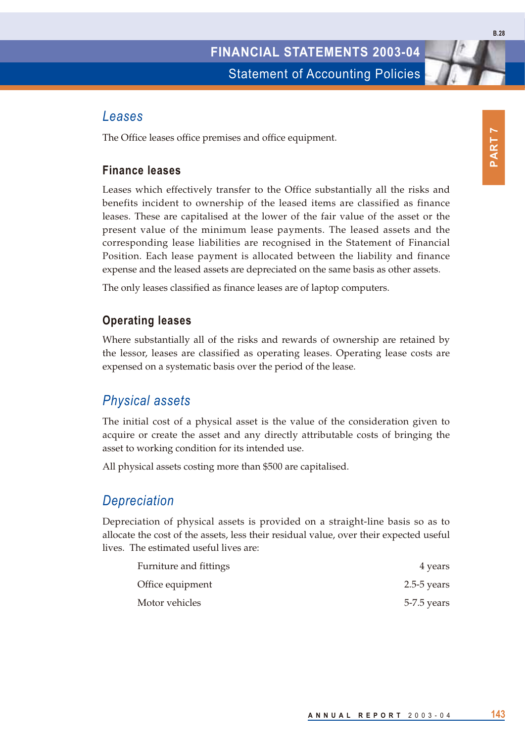#### *Leases*

The Office leases office premises and office equipment.

#### **Finance leases**

Leases which effectively transfer to the Office substantially all the risks and benefits incident to ownership of the leased items are classified as finance leases. These are capitalised at the lower of the fair value of the asset or the present value of the minimum lease payments. The leased assets and the corresponding lease liabilities are recognised in the Statement of Financial Position. Each lease payment is allocated between the liability and finance expense and the leased assets are depreciated on the same basis as other assets.

The only leases classified as finance leases are of laptop computers.

#### **Operating leases**

Where substantially all of the risks and rewards of ownership are retained by the lessor, leases are classified as operating leases. Operating lease costs are expensed on a systematic basis over the period of the lease.

#### *Physical assets*

The initial cost of a physical asset is the value of the consideration given to acquire or create the asset and any directly attributable costs of bringing the asset to working condition for its intended use.

All physical assets costing more than \$500 are capitalised.

#### *Depreciation*

Depreciation of physical assets is provided on a straight-line basis so as to allocate the cost of the assets, less their residual value, over their expected useful lives. The estimated useful lives are:

| Furniture and fittings | 4 years         |
|------------------------|-----------------|
| Office equipment       | $2.5 - 5$ years |
| Motor vehicles         | 5-7.5 years     |

**B.28**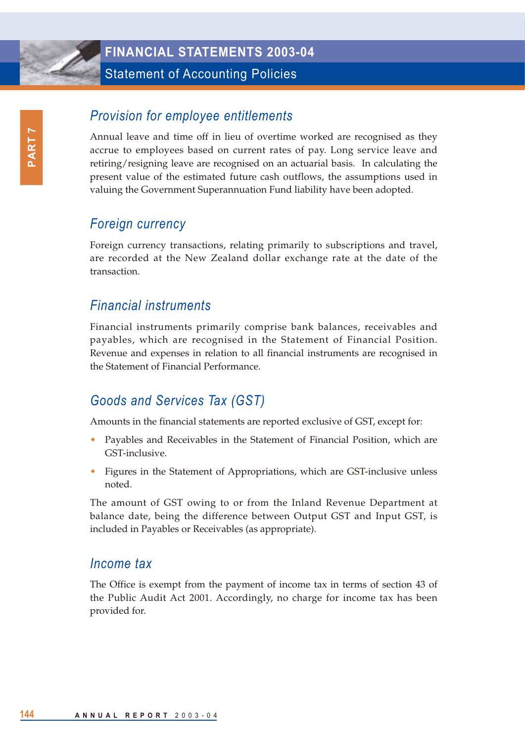

#### **FINANCIAL STATEMENTS 2003-04**

Statement of Accounting Policies

# *Provision for employee entitlements*

Annual leave and time off in lieu of overtime worked are recognised as they accrue to employees based on current rates of pay. Long service leave and retiring/resigning leave are recognised on an actuarial basis. In calculating the present value of the estimated future cash outflows, the assumptions used in valuing the Government Superannuation Fund liability have been adopted.

### *Foreign currency*

Foreign currency transactions, relating primarily to subscriptions and travel, are recorded at the New Zealand dollar exchange rate at the date of the transaction.

### *Financial instruments*

Financial instruments primarily comprise bank balances, receivables and payables, which are recognised in the Statement of Financial Position. Revenue and expenses in relation to all financial instruments are recognised in the Statement of Financial Performance.

### *Goods and Services Tax (GST)*

Amounts in the financial statements are reported exclusive of GST, except for:

- Payables and Receivables in the Statement of Financial Position, which are GST-inclusive.
- Figures in the Statement of Appropriations, which are GST-inclusive unless noted.

The amount of GST owing to or from the Inland Revenue Department at balance date, being the difference between Output GST and Input GST, is included in Payables or Receivables (as appropriate).

#### *Income tax*

The Office is exempt from the payment of income tax in terms of section 43 of the Public Audit Act 2001. Accordingly, no charge for income tax has been provided for.